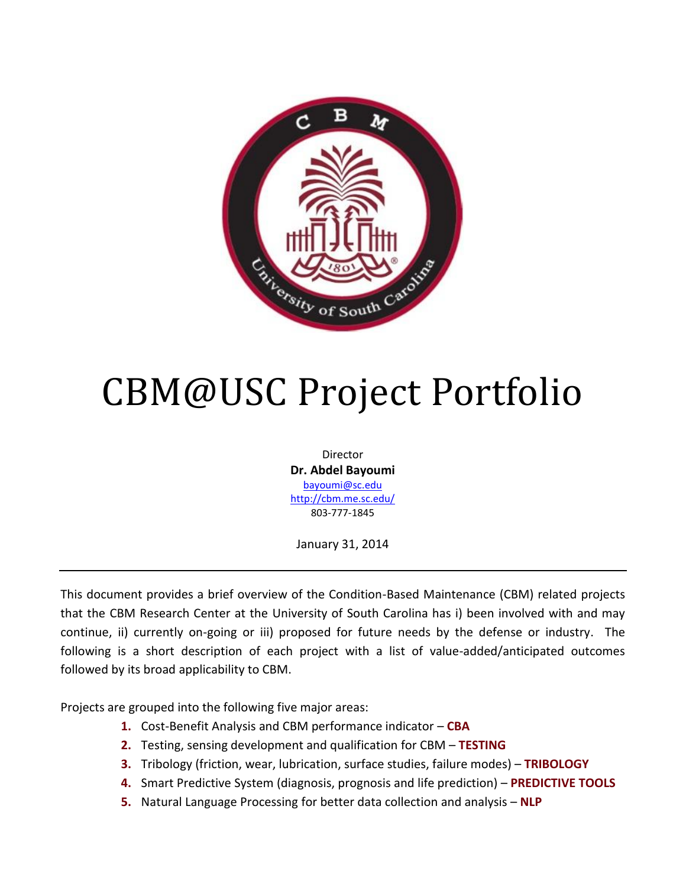

# CBM@USC Project Portfolio

Director **Dr. Abdel Bayoumi** [bayoumi@sc.edu](mailto:bayoumi@sc.edu) <http://cbm.me.sc.edu/> 803-777-1845

January 31, 2014

This document provides a brief overview of the Condition-Based Maintenance (CBM) related projects that the CBM Research Center at the University of South Carolina has i) been involved with and may continue, ii) currently on-going or iii) proposed for future needs by the defense or industry. The following is a short description of each project with a list of value-added/anticipated outcomes followed by its broad applicability to CBM.

Projects are grouped into the following five major areas:

- **1.** Cost-Benefit Analysis and CBM performance indicator **CBA**
- **2.** Testing, sensing development and qualification for CBM **TESTING**
- **3.** Tribology (friction, wear, lubrication, surface studies, failure modes) **TRIBOLOGY**
- **4.** Smart Predictive System (diagnosis, prognosis and life prediction) **PREDICTIVE TOOLS**
- **5.** Natural Language Processing for better data collection and analysis **NLP**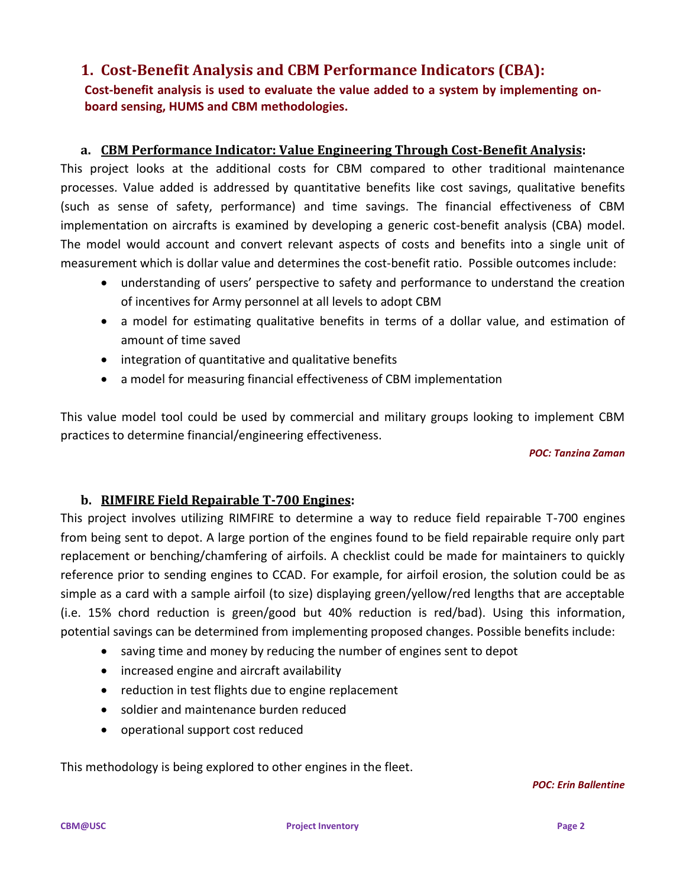## **1. Cost-Benefit Analysis and CBM Performance Indicators (CBA):**

## **Cost-benefit analysis is used to evaluate the value added to a system by implementing onboard sensing, HUMS and CBM methodologies.**

## **a. CBM Performance Indicator: Value Engineering Through Cost-Benefit Analysis:**

This project looks at the additional costs for CBM compared to other traditional maintenance processes. Value added is addressed by quantitative benefits like cost savings, qualitative benefits (such as sense of safety, performance) and time savings. The financial effectiveness of CBM implementation on aircrafts is examined by developing a generic cost-benefit analysis (CBA) model. The model would account and convert relevant aspects of costs and benefits into a single unit of measurement which is dollar value and determines the cost-benefit ratio. Possible outcomes include:

- understanding of users' perspective to safety and performance to understand the creation of incentives for Army personnel at all levels to adopt CBM
- a model for estimating qualitative benefits in terms of a dollar value, and estimation of amount of time saved
- integration of quantitative and qualitative benefits
- a model for measuring financial effectiveness of CBM implementation

This value model tool could be used by commercial and military groups looking to implement CBM practices to determine financial/engineering effectiveness.

#### *POC: Tanzina Zaman*

## **b. RIMFIRE Field Repairable T-700 Engines:**

This project involves utilizing RIMFIRE to determine a way to reduce field repairable T-700 engines from being sent to depot. A large portion of the engines found to be field repairable require only part replacement or benching/chamfering of airfoils. A checklist could be made for maintainers to quickly reference prior to sending engines to CCAD. For example, for airfoil erosion, the solution could be as simple as a card with a sample airfoil (to size) displaying green/yellow/red lengths that are acceptable (i.e. 15% chord reduction is green/good but 40% reduction is red/bad). Using this information, potential savings can be determined from implementing proposed changes. Possible benefits include:

- saving time and money by reducing the number of engines sent to depot
- increased engine and aircraft availability
- reduction in test flights due to engine replacement
- soldier and maintenance burden reduced
- operational support cost reduced

This methodology is being explored to other engines in the fleet.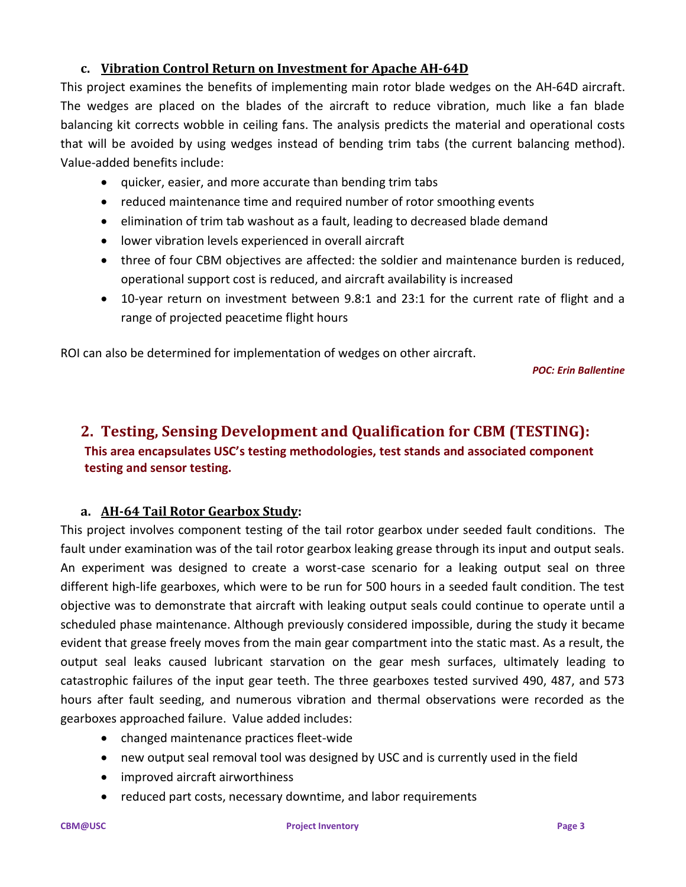## **c. Vibration Control Return on Investment for Apache AH-64D**

This project examines the benefits of implementing main rotor blade wedges on the AH-64D aircraft. The wedges are placed on the blades of the aircraft to reduce vibration, much like a fan blade balancing kit corrects wobble in ceiling fans. The analysis predicts the material and operational costs that will be avoided by using wedges instead of bending trim tabs (the current balancing method). Value-added benefits include:

- quicker, easier, and more accurate than bending trim tabs
- reduced maintenance time and required number of rotor smoothing events
- elimination of trim tab washout as a fault, leading to decreased blade demand
- lower vibration levels experienced in overall aircraft
- three of four CBM objectives are affected: the soldier and maintenance burden is reduced, operational support cost is reduced, and aircraft availability is increased
- 10-year return on investment between 9.8:1 and 23:1 for the current rate of flight and a range of projected peacetime flight hours

ROI can also be determined for implementation of wedges on other aircraft.

*POC: Erin Ballentine*

# **2. Testing, Sensing Development and Qualification for CBM (TESTING): This area encapsulates USC's testing methodologies, test stands and associated component testing and sensor testing.**

## **a. AH-64 Tail Rotor Gearbox Study:**

This project involves component testing of the tail rotor gearbox under seeded fault conditions. The fault under examination was of the tail rotor gearbox leaking grease through its input and output seals. An experiment was designed to create a worst-case scenario for a leaking output seal on three different high-life gearboxes, which were to be run for 500 hours in a seeded fault condition. The test objective was to demonstrate that aircraft with leaking output seals could continue to operate until a scheduled phase maintenance. Although previously considered impossible, during the study it became evident that grease freely moves from the main gear compartment into the static mast. As a result, the output seal leaks caused lubricant starvation on the gear mesh surfaces, ultimately leading to catastrophic failures of the input gear teeth. The three gearboxes tested survived 490, 487, and 573 hours after fault seeding, and numerous vibration and thermal observations were recorded as the gearboxes approached failure. Value added includes:

- changed maintenance practices fleet-wide
- new output seal removal tool was designed by USC and is currently used in the field
- improved aircraft airworthiness
- reduced part costs, necessary downtime, and labor requirements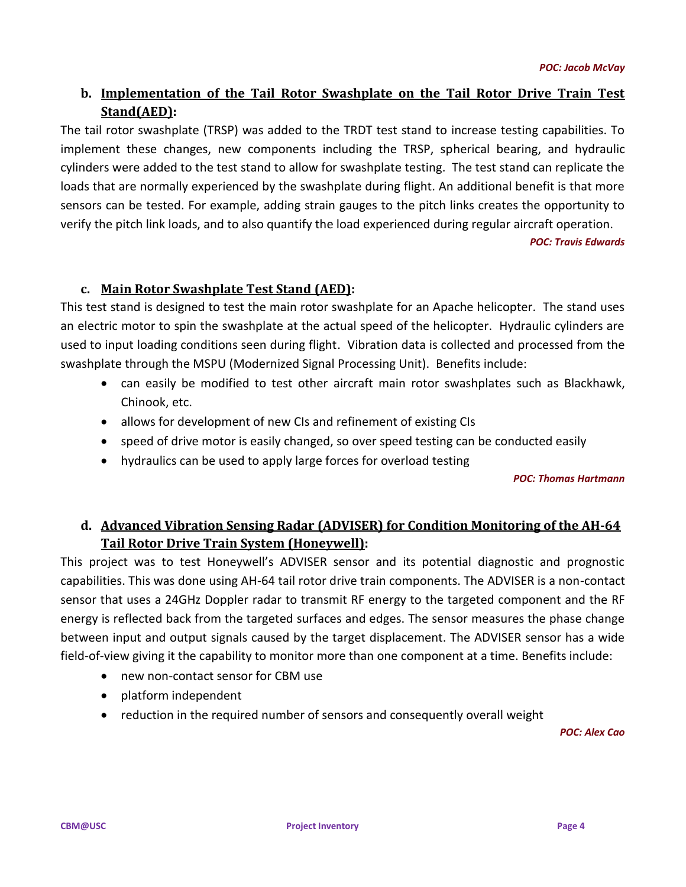## **b. Implementation of the Tail Rotor Swashplate on the Tail Rotor Drive Train Test Stand(AED):**

The tail rotor swashplate (TRSP) was added to the TRDT test stand to increase testing capabilities. To implement these changes, new components including the TRSP, spherical bearing, and hydraulic cylinders were added to the test stand to allow for swashplate testing. The test stand can replicate the loads that are normally experienced by the swashplate during flight. An additional benefit is that more sensors can be tested. For example, adding strain gauges to the pitch links creates the opportunity to verify the pitch link loads, and to also quantify the load experienced during regular aircraft operation.

*POC: Travis Edwards*

## **c. Main Rotor Swashplate Test Stand (AED):**

This test stand is designed to test the main rotor swashplate for an Apache helicopter. The stand uses an electric motor to spin the swashplate at the actual speed of the helicopter. Hydraulic cylinders are used to input loading conditions seen during flight. Vibration data is collected and processed from the swashplate through the MSPU (Modernized Signal Processing Unit). Benefits include:

- can easily be modified to test other aircraft main rotor swashplates such as Blackhawk, Chinook, etc.
- allows for development of new CIs and refinement of existing CIs
- speed of drive motor is easily changed, so over speed testing can be conducted easily
- hydraulics can be used to apply large forces for overload testing

*POC: Thomas Hartmann*

## **d. Advanced Vibration Sensing Radar (ADVISER) for Condition Monitoring of the AH-64 Tail Rotor Drive Train System (Honeywell):**

This project was to test Honeywell's ADVISER sensor and its potential diagnostic and prognostic capabilities. This was done using AH-64 tail rotor drive train components. The ADVISER is a non-contact sensor that uses a 24GHz Doppler radar to transmit RF energy to the targeted component and the RF energy is reflected back from the targeted surfaces and edges. The sensor measures the phase change between input and output signals caused by the target displacement. The ADVISER sensor has a wide field-of-view giving it the capability to monitor more than one component at a time. Benefits include:

- new non-contact sensor for CBM use
- platform independent
- reduction in the required number of sensors and consequently overall weight

*POC: Alex Cao*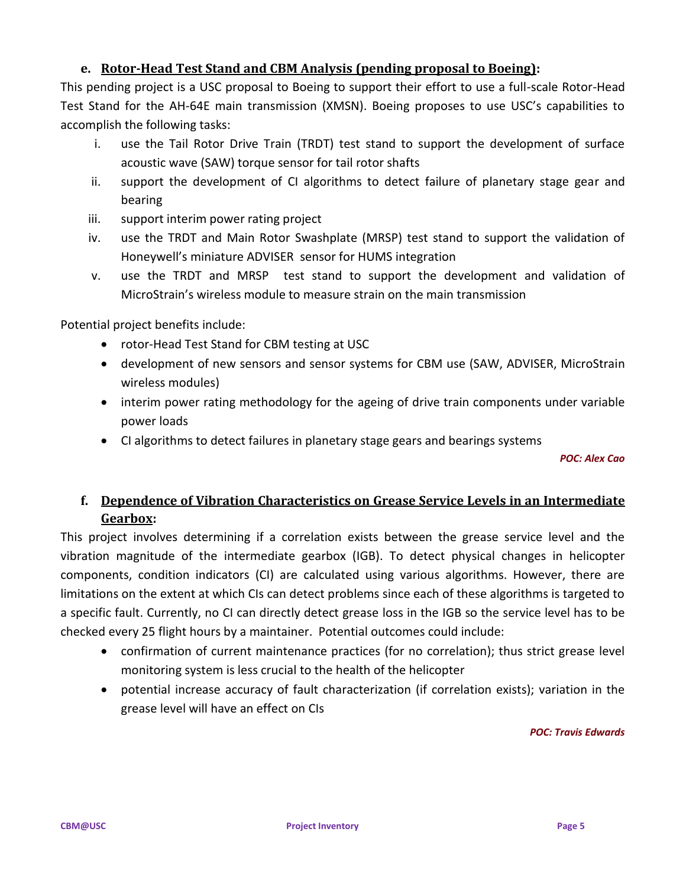## **e. Rotor-Head Test Stand and CBM Analysis (pending proposal to Boeing):**

This pending project is a USC proposal to Boeing to support their effort to use a full-scale Rotor-Head Test Stand for the AH-64E main transmission (XMSN). Boeing proposes to use USC's capabilities to accomplish the following tasks:

- i. use the Tail Rotor Drive Train (TRDT) test stand to support the development of surface acoustic wave (SAW) torque sensor for tail rotor shafts
- ii. support the development of CI algorithms to detect failure of planetary stage gear and bearing
- iii. support interim power rating project
- iv. use the TRDT and Main Rotor Swashplate (MRSP) test stand to support the validation of Honeywell's miniature ADVISER sensor for HUMS integration
- v. use the TRDT and MRSP test stand to support the development and validation of MicroStrain's wireless module to measure strain on the main transmission

Potential project benefits include:

- rotor-Head Test Stand for CBM testing at USC
- development of new sensors and sensor systems for CBM use (SAW, ADVISER, MicroStrain wireless modules)
- interim power rating methodology for the ageing of drive train components under variable power loads
- CI algorithms to detect failures in planetary stage gears and bearings systems

*POC: Alex Cao*

## **f. Dependence of Vibration Characteristics on Grease Service Levels in an Intermediate Gearbox:**

This project involves determining if a correlation exists between the grease service level and the vibration magnitude of the intermediate gearbox (IGB). To detect physical changes in helicopter components, condition indicators (CI) are calculated using various algorithms. However, there are limitations on the extent at which CIs can detect problems since each of these algorithms is targeted to a specific fault. Currently, no CI can directly detect grease loss in the IGB so the service level has to be checked every 25 flight hours by a maintainer. Potential outcomes could include:

- confirmation of current maintenance practices (for no correlation); thus strict grease level monitoring system is less crucial to the health of the helicopter
- potential increase accuracy of fault characterization (if correlation exists); variation in the grease level will have an effect on CIs

#### *POC: Travis Edwards*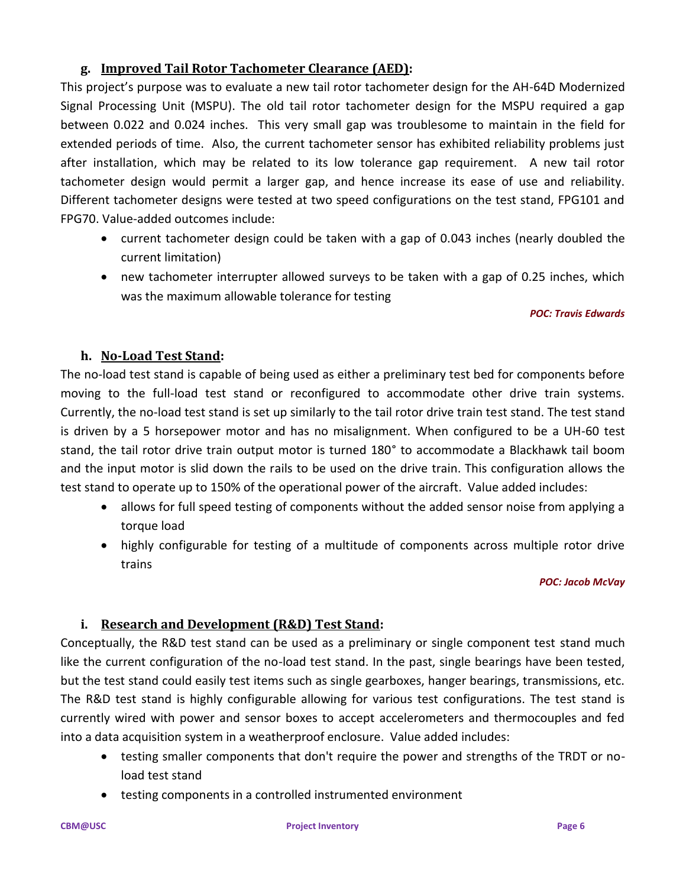## **g. Improved Tail Rotor Tachometer Clearance (AED):**

This project's purpose was to evaluate a new tail rotor tachometer design for the AH-64D Modernized Signal Processing Unit (MSPU). The old tail rotor tachometer design for the MSPU required a gap between 0.022 and 0.024 inches. This very small gap was troublesome to maintain in the field for extended periods of time. Also, the current tachometer sensor has exhibited reliability problems just after installation, which may be related to its low tolerance gap requirement. A new tail rotor tachometer design would permit a larger gap, and hence increase its ease of use and reliability. Different tachometer designs were tested at two speed configurations on the test stand, FPG101 and FPG70. Value-added outcomes include:

- current tachometer design could be taken with a gap of 0.043 inches (nearly doubled the current limitation)
- new tachometer interrupter allowed surveys to be taken with a gap of 0.25 inches, which was the maximum allowable tolerance for testing

#### *POC: Travis Edwards*

## **h. No-Load Test Stand:**

The no-load test stand is capable of being used as either a preliminary test bed for components before moving to the full-load test stand or reconfigured to accommodate other drive train systems. Currently, the no-load test stand is set up similarly to the tail rotor drive train test stand. The test stand is driven by a 5 horsepower motor and has no misalignment. When configured to be a UH-60 test stand, the tail rotor drive train output motor is turned 180° to accommodate a Blackhawk tail boom and the input motor is slid down the rails to be used on the drive train. This configuration allows the test stand to operate up to 150% of the operational power of the aircraft. Value added includes:

- allows for full speed testing of components without the added sensor noise from applying a torque load
- highly configurable for testing of a multitude of components across multiple rotor drive trains

#### *POC: Jacob McVay*

## **i. Research and Development (R&D) Test Stand:**

Conceptually, the R&D test stand can be used as a preliminary or single component test stand much like the current configuration of the no-load test stand. In the past, single bearings have been tested, but the test stand could easily test items such as single gearboxes, hanger bearings, transmissions, etc. The R&D test stand is highly configurable allowing for various test configurations. The test stand is currently wired with power and sensor boxes to accept accelerometers and thermocouples and fed into a data acquisition system in a weatherproof enclosure. Value added includes:

- testing smaller components that don't require the power and strengths of the TRDT or noload test stand
- testing components in a controlled instrumented environment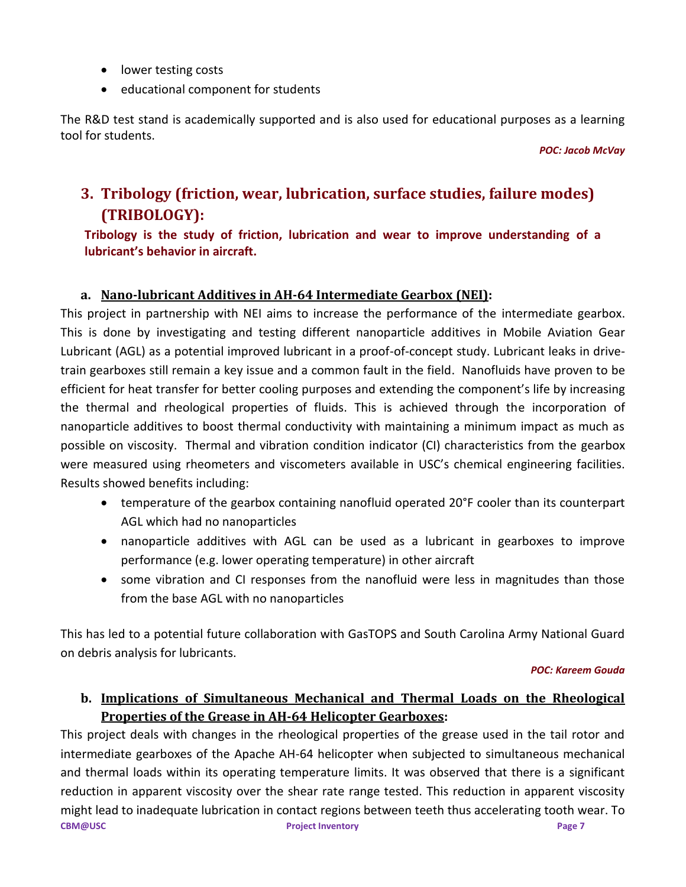- lower testing costs
- educational component for students

The R&D test stand is academically supported and is also used for educational purposes as a learning tool for students.

*POC: Jacob McVay*

# **3. Tribology (friction, wear, lubrication, surface studies, failure modes) (TRIBOLOGY):**

## **Tribology is the study of friction, lubrication and wear to improve understanding of a lubricant's behavior in aircraft.**

## **a. Nano-lubricant Additives in AH-64 Intermediate Gearbox (NEI):**

This project in partnership with NEI aims to increase the performance of the intermediate gearbox. This is done by investigating and testing different nanoparticle additives in Mobile Aviation Gear Lubricant (AGL) as a potential improved lubricant in a proof-of-concept study. Lubricant leaks in drivetrain gearboxes still remain a key issue and a common fault in the field. Nanofluids have proven to be efficient for heat transfer for better cooling purposes and extending the component's life by increasing the thermal and rheological properties of fluids. This is achieved through the incorporation of nanoparticle additives to boost thermal conductivity with maintaining a minimum impact as much as possible on viscosity. Thermal and vibration condition indicator (CI) characteristics from the gearbox were measured using rheometers and viscometers available in USC's chemical engineering facilities. Results showed benefits including:

- temperature of the gearbox containing nanofluid operated 20°F cooler than its counterpart AGL which had no nanoparticles
- nanoparticle additives with AGL can be used as a lubricant in gearboxes to improve performance (e.g. lower operating temperature) in other aircraft
- some vibration and CI responses from the nanofluid were less in magnitudes than those from the base AGL with no nanoparticles

This has led to a potential future collaboration with GasTOPS and South Carolina Army National Guard on debris analysis for lubricants.

#### *POC: Kareem Gouda*

## **b. Implications of Simultaneous Mechanical and Thermal Loads on the Rheological Properties of the Grease in AH-64 Helicopter Gearboxes:**

**CBM@USC** Project Inventory **Project Inventory Page 7** This project deals with changes in the rheological properties of the grease used in the tail rotor and intermediate gearboxes of the Apache AH-64 helicopter when subjected to simultaneous mechanical and thermal loads within its operating temperature limits. It was observed that there is a significant reduction in apparent viscosity over the shear rate range tested. This reduction in apparent viscosity might lead to inadequate lubrication in contact regions between teeth thus accelerating tooth wear. To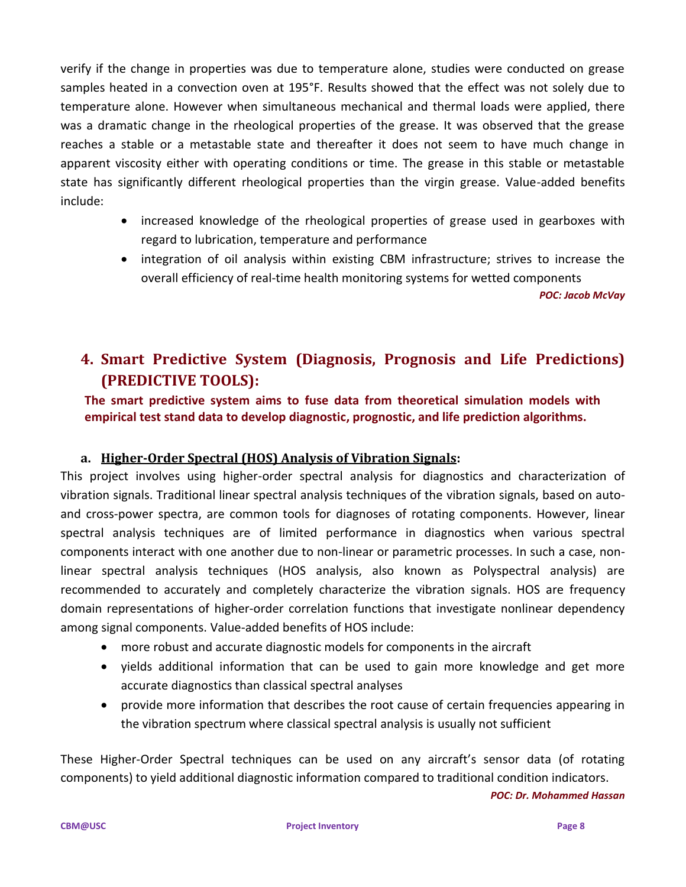verify if the change in properties was due to temperature alone, studies were conducted on grease samples heated in a convection oven at 195°F. Results showed that the effect was not solely due to temperature alone. However when simultaneous mechanical and thermal loads were applied, there was a dramatic change in the rheological properties of the grease. It was observed that the grease reaches a stable or a metastable state and thereafter it does not seem to have much change in apparent viscosity either with operating conditions or time. The grease in this stable or metastable state has significantly different rheological properties than the virgin grease. Value-added benefits include:

- increased knowledge of the rheological properties of grease used in gearboxes with regard to lubrication, temperature and performance
- integration of oil analysis within existing CBM infrastructure; strives to increase the overall efficiency of real-time health monitoring systems for wetted components

*POC: Jacob McVay*

# **4. Smart Predictive System (Diagnosis, Prognosis and Life Predictions) (PREDICTIVE TOOLS):**

**The smart predictive system aims to fuse data from theoretical simulation models with empirical test stand data to develop diagnostic, prognostic, and life prediction algorithms.**

## **a. Higher-Order Spectral (HOS) Analysis of Vibration Signals:**

This project involves using higher-order spectral analysis for diagnostics and characterization of vibration signals. Traditional linear spectral analysis techniques of the vibration signals, based on autoand cross-power spectra, are common tools for diagnoses of rotating components. However, linear spectral analysis techniques are of limited performance in diagnostics when various spectral components interact with one another due to non-linear or parametric processes. In such a case, nonlinear spectral analysis techniques (HOS analysis, also known as Polyspectral analysis) are recommended to accurately and completely characterize the vibration signals. HOS are frequency domain representations of higher-order correlation functions that investigate nonlinear dependency among signal components. Value-added benefits of HOS include:

- more robust and accurate diagnostic models for components in the aircraft
- yields additional information that can be used to gain more knowledge and get more accurate diagnostics than classical spectral analyses
- provide more information that describes the root cause of certain frequencies appearing in the vibration spectrum where classical spectral analysis is usually not sufficient

These Higher-Order Spectral techniques can be used on any aircraft's sensor data (of rotating components) to yield additional diagnostic information compared to traditional condition indicators.

*POC: Dr. Mohammed Hassan*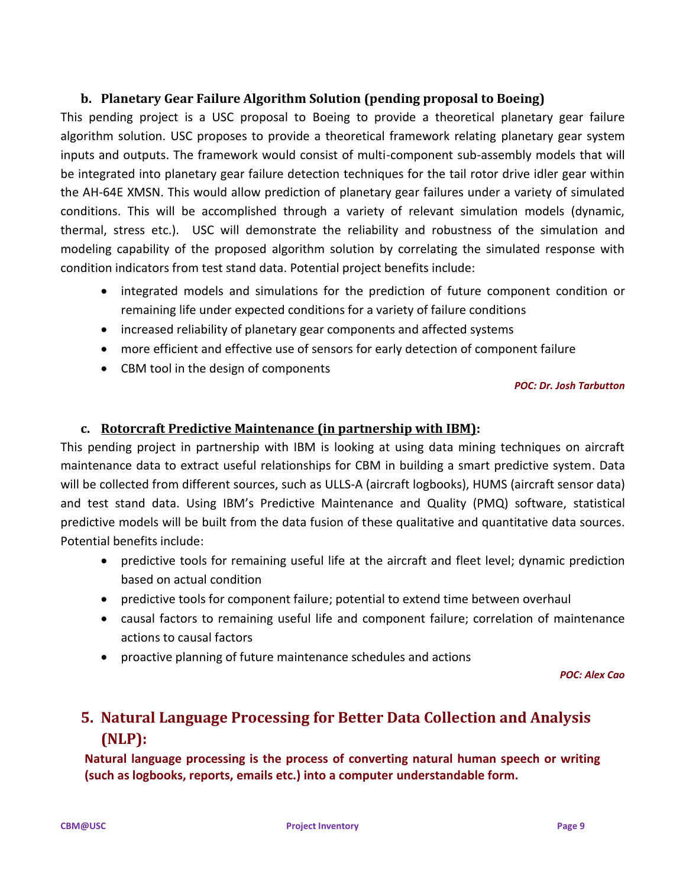## **b. Planetary Gear Failure Algorithm Solution (pending proposal to Boeing)**

This pending project is a USC proposal to Boeing to provide a theoretical planetary gear failure algorithm solution. USC proposes to provide a theoretical framework relating planetary gear system inputs and outputs. The framework would consist of multi-component sub-assembly models that will be integrated into planetary gear failure detection techniques for the tail rotor drive idler gear within the AH-64E XMSN. This would allow prediction of planetary gear failures under a variety of simulated conditions. This will be accomplished through a variety of relevant simulation models (dynamic, thermal, stress etc.). USC will demonstrate the reliability and robustness of the simulation and modeling capability of the proposed algorithm solution by correlating the simulated response with condition indicators from test stand data. Potential project benefits include:

- integrated models and simulations for the prediction of future component condition or remaining life under expected conditions for a variety of failure conditions
- increased reliability of planetary gear components and affected systems
- more efficient and effective use of sensors for early detection of component failure
- CBM tool in the design of components

#### *POC: Dr. Josh Tarbutton*

## **c. Rotorcraft Predictive Maintenance (in partnership with IBM):**

This pending project in partnership with IBM is looking at using data mining techniques on aircraft maintenance data to extract useful relationships for CBM in building a smart predictive system. Data will be collected from different sources, such as ULLS-A (aircraft logbooks), HUMS (aircraft sensor data) and test stand data. Using IBM's Predictive Maintenance and Quality (PMQ) software, statistical predictive models will be built from the data fusion of these qualitative and quantitative data sources. Potential benefits include:

- predictive tools for remaining useful life at the aircraft and fleet level; dynamic prediction based on actual condition
- predictive tools for component failure; potential to extend time between overhaul
- causal factors to remaining useful life and component failure; correlation of maintenance actions to causal factors
- proactive planning of future maintenance schedules and actions

*POC: Alex Cao*

# **5. Natural Language Processing for Better Data Collection and Analysis (NLP):**

**Natural language processing is the process of converting natural human speech or writing (such as logbooks, reports, emails etc.) into a computer understandable form.**